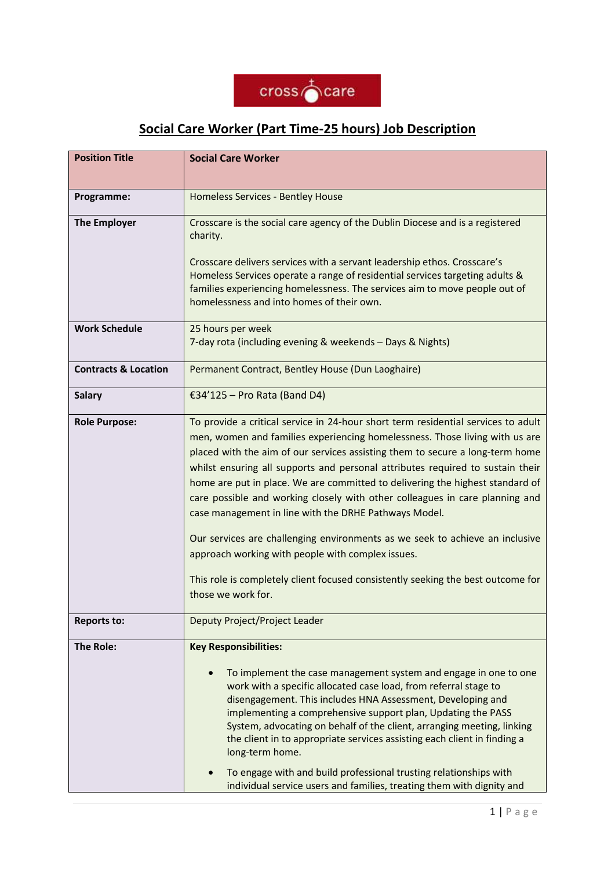

## **Social Care Worker (Part Time-25 hours) Job Description**

| <b>Position Title</b>           | <b>Social Care Worker</b>                                                                                                                                                                                                                                                                                                                                                                                                                                                                                                                                                                                                                                                                                                                                                                                    |  |  |
|---------------------------------|--------------------------------------------------------------------------------------------------------------------------------------------------------------------------------------------------------------------------------------------------------------------------------------------------------------------------------------------------------------------------------------------------------------------------------------------------------------------------------------------------------------------------------------------------------------------------------------------------------------------------------------------------------------------------------------------------------------------------------------------------------------------------------------------------------------|--|--|
| Programme:                      | Homeless Services - Bentley House                                                                                                                                                                                                                                                                                                                                                                                                                                                                                                                                                                                                                                                                                                                                                                            |  |  |
| <b>The Employer</b>             | Crosscare is the social care agency of the Dublin Diocese and is a registered<br>charity.<br>Crosscare delivers services with a servant leadership ethos. Crosscare's<br>Homeless Services operate a range of residential services targeting adults &<br>families experiencing homelessness. The services aim to move people out of<br>homelessness and into homes of their own.                                                                                                                                                                                                                                                                                                                                                                                                                             |  |  |
| <b>Work Schedule</b>            | 25 hours per week<br>7-day rota (including evening & weekends - Days & Nights)                                                                                                                                                                                                                                                                                                                                                                                                                                                                                                                                                                                                                                                                                                                               |  |  |
| <b>Contracts &amp; Location</b> | Permanent Contract, Bentley House (Dun Laoghaire)                                                                                                                                                                                                                                                                                                                                                                                                                                                                                                                                                                                                                                                                                                                                                            |  |  |
| <b>Salary</b>                   | €34'125 – Pro Rata (Band D4)                                                                                                                                                                                                                                                                                                                                                                                                                                                                                                                                                                                                                                                                                                                                                                                 |  |  |
| <b>Role Purpose:</b>            | To provide a critical service in 24-hour short term residential services to adult<br>men, women and families experiencing homelessness. Those living with us are<br>placed with the aim of our services assisting them to secure a long-term home<br>whilst ensuring all supports and personal attributes required to sustain their<br>home are put in place. We are committed to delivering the highest standard of<br>care possible and working closely with other colleagues in care planning and<br>case management in line with the DRHE Pathways Model.<br>Our services are challenging environments as we seek to achieve an inclusive<br>approach working with people with complex issues.<br>This role is completely client focused consistently seeking the best outcome for<br>those we work for. |  |  |
| <b>Reports to:</b>              | Deputy Project/Project Leader                                                                                                                                                                                                                                                                                                                                                                                                                                                                                                                                                                                                                                                                                                                                                                                |  |  |
| <b>The Role:</b>                | <b>Key Responsibilities:</b><br>To implement the case management system and engage in one to one<br>$\bullet$<br>work with a specific allocated case load, from referral stage to<br>disengagement. This includes HNA Assessment, Developing and<br>implementing a comprehensive support plan, Updating the PASS<br>System, advocating on behalf of the client, arranging meeting, linking<br>the client in to appropriate services assisting each client in finding a<br>long-term home.<br>To engage with and build professional trusting relationships with<br>individual service users and families, treating them with dignity and                                                                                                                                                                      |  |  |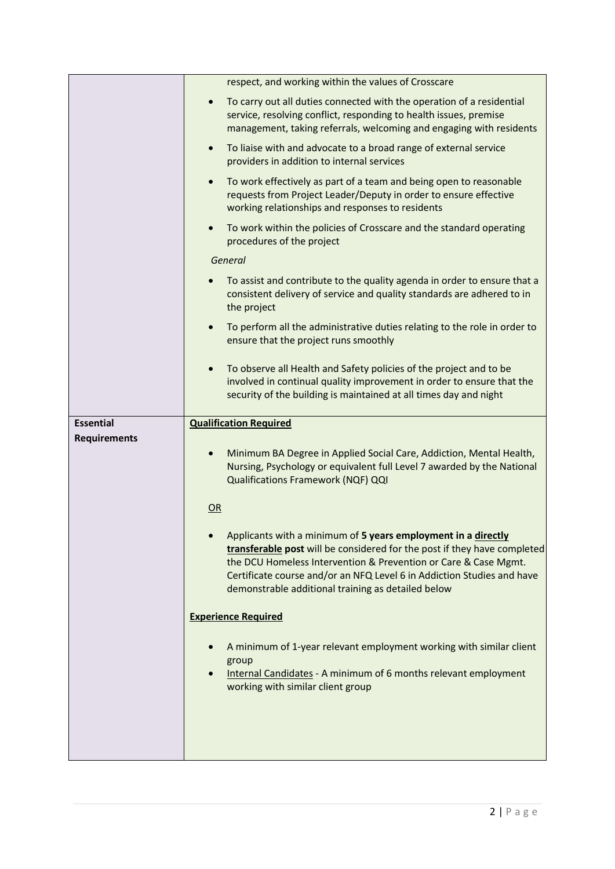|                     | respect, and working within the values of Crosscare                                                                                                                                                                                                                                                                                          |  |  |
|---------------------|----------------------------------------------------------------------------------------------------------------------------------------------------------------------------------------------------------------------------------------------------------------------------------------------------------------------------------------------|--|--|
|                     | To carry out all duties connected with the operation of a residential<br>$\bullet$<br>service, resolving conflict, responding to health issues, premise<br>management, taking referrals, welcoming and engaging with residents                                                                                                               |  |  |
|                     | To liaise with and advocate to a broad range of external service<br>$\bullet$<br>providers in addition to internal services                                                                                                                                                                                                                  |  |  |
|                     | To work effectively as part of a team and being open to reasonable<br>$\bullet$<br>requests from Project Leader/Deputy in order to ensure effective<br>working relationships and responses to residents                                                                                                                                      |  |  |
|                     | To work within the policies of Crosscare and the standard operating<br>$\bullet$<br>procedures of the project                                                                                                                                                                                                                                |  |  |
|                     | General                                                                                                                                                                                                                                                                                                                                      |  |  |
|                     | To assist and contribute to the quality agenda in order to ensure that a<br>consistent delivery of service and quality standards are adhered to in<br>the project                                                                                                                                                                            |  |  |
|                     | To perform all the administrative duties relating to the role in order to<br>$\bullet$<br>ensure that the project runs smoothly                                                                                                                                                                                                              |  |  |
|                     | To observe all Health and Safety policies of the project and to be<br>$\bullet$<br>involved in continual quality improvement in order to ensure that the<br>security of the building is maintained at all times day and night                                                                                                                |  |  |
|                     | <b>Qualification Required</b>                                                                                                                                                                                                                                                                                                                |  |  |
| <b>Essential</b>    |                                                                                                                                                                                                                                                                                                                                              |  |  |
| <b>Requirements</b> |                                                                                                                                                                                                                                                                                                                                              |  |  |
|                     | Minimum BA Degree in Applied Social Care, Addiction, Mental Health,<br>$\bullet$<br>Nursing, Psychology or equivalent full Level 7 awarded by the National<br>Qualifications Framework (NQF) QQI                                                                                                                                             |  |  |
|                     | OR                                                                                                                                                                                                                                                                                                                                           |  |  |
|                     | Applicants with a minimum of 5 years employment in a directly<br>transferable post will be considered for the post if they have completed<br>the DCU Homeless Intervention & Prevention or Care & Case Mgmt.<br>Certificate course and/or an NFQ Level 6 in Addiction Studies and have<br>demonstrable additional training as detailed below |  |  |
|                     | <b>Experience Required</b>                                                                                                                                                                                                                                                                                                                   |  |  |
|                     | A minimum of 1-year relevant employment working with similar client<br>group<br>Internal Candidates - A minimum of 6 months relevant employment<br>working with similar client group                                                                                                                                                         |  |  |